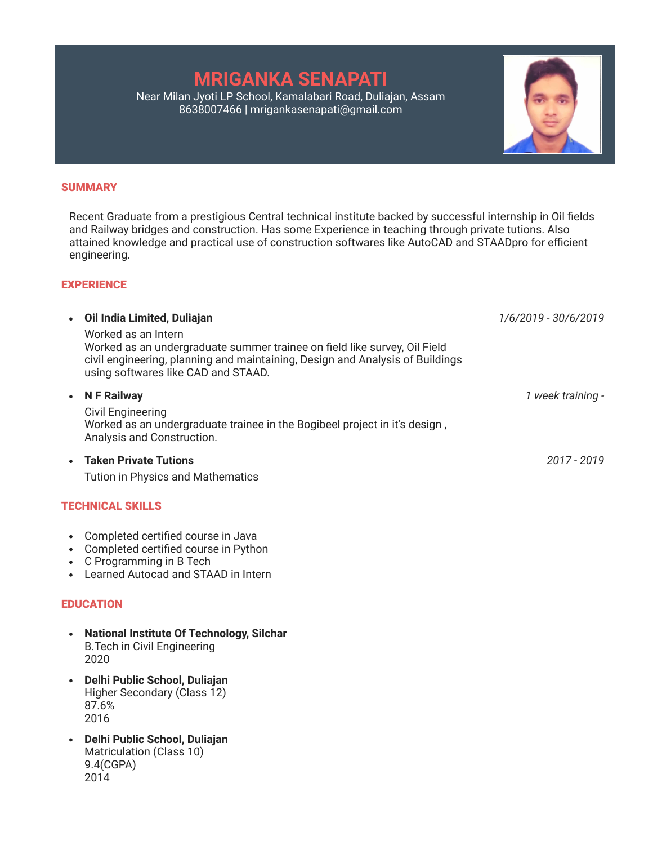# **MRIGANKA SENAPATI**

Near Milan Jyoti LP School, Kamalabari Road, Duliajan, Assam 8638007466 | mrigankasenapati@gmail.com



Recent Graduate from a prestigious Central technical institute backed by successful internship in Oil fields and Railway bridges and construction. Has some Experience in teaching through private tutions. Also attained knowledge and practical use of construction softwares like AutoCAD and STAADpro for efficient engineering.

## **EXPERIENCE**

| Oil India Limited, Duliajan                                                                                                                                                                                              | 1/6/2019 - 30/6/2019 |
|--------------------------------------------------------------------------------------------------------------------------------------------------------------------------------------------------------------------------|----------------------|
| Worked as an Intern<br>Worked as an undergraduate summer trainee on field like survey, Oil Field<br>civil engineering, planning and maintaining, Design and Analysis of Buildings<br>using softwares like CAD and STAAD. |                      |
| <b>N F Railway</b><br><b>Civil Engineering</b><br>Worked as an undergraduate trainee in the Bogibeel project in it's design,<br>Analysis and Construction.                                                               | 1 week training -    |
| • Taken Private Tutions                                                                                                                                                                                                  | 2017 - 2019          |

Tution in Physics and Mathematics

# TECHNICAL SKILLS

- Completed certified course in Java
- Completed certified course in Python
- C Programming in B Tech
- Learned Autocad and STAAD in Intern

# EDUCATION

- **National Institute Of Technology, Silchar** B.Tech in Civil Engineering 2020
- **Delhi Public School, Duliajan** Higher Secondary (Class 12) 87.6% 2016
- **Delhi Public School, Duliajan** Matriculation (Class 10) 9.4(CGPA) 2014